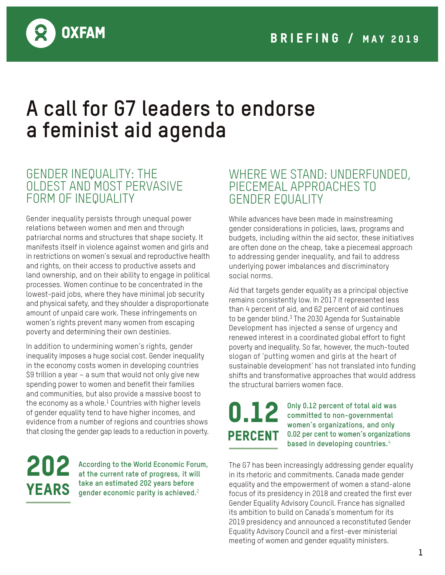

## **A call for G7 leaders to endorse a feminist aid agenda**

### GENDER INEQUALITY: THE OLDEST AND MOST PERVASIVE FORM OF INEQUALITY

Gender inequality persists through unequal power relations between women and men and through patriarchal norms and structures that shape society. It manifests itself in violence against women and girls and in restrictions on women's sexual and reproductive health and rights, on their access to productive assets and land ownership, and on their ability to engage in political processes. Women continue to be concentrated in the lowest-paid jobs, where they have minimal job security and physical safety, and they shoulder a disproportionate amount of unpaid care work. These infringements on women's rights prevent many women from escaping poverty and determining their own destinies.

In addition to undermining women's rights, gender inequality imposes a huge social cost. Gender inequality in the economy costs women in developing countries \$9 trillion a year – a sum that would not only give new spending power to women and benefit their families and communities, but also provide a massive boost to the economy as a whole. $1$  Countries with higher levels of gender equality tend to have higher incomes, and evidence from a number of regions and countries shows that closing the gender gap leads to a reduction in poverty.

202

**According to the World Economic Forum, at the current rate of progress, it will take an estimated 202 years before YEARS** dake an estimated 202 years before the equal estimated and  $\mathbf{g}$ 

### WHERE WE STAND: UNDERFUNDED, PIECEMEAL APPROACHES TO GENDER EQUALITY

While advances have been made in mainstreaming gender considerations in policies, laws, programs and budgets, including within the aid sector, these initiatives are often done on the cheap, take a piecemeal approach to addressing gender inequality, and fail to address underlying power imbalances and discriminatory social norms.

Aid that targets gender equality as a principal objective remains consistently low. In 2017 it represented less than 4 percent of aid, and 62 percent of aid continues to be gender blind. $3$  The 2030 Agenda for Sustainable Development has injected a sense of urgency and renewed interest in a coordinated global effort to fight poverty and inequality. So far, however, the much-touted slogan of 'putting women and girls at the heart of sustainable development' has not translated into funding shifts and transformative approaches that would address the structural barriers women face.

# 0.12 **PERCENT**

**Only 0.12 percent of total aid was committed to non-governmental women's organizations, and only 0.02 per cent to women's organizations based in developing countries.**4

The G7 has been increasingly addressing gender equality in its rhetoric and commitments. Canada made gender equality and the empowerment of women a stand-alone focus of its presidency in 2018 and created the first ever Gender Equality Advisory Council. France has signalled its ambition to build on Canada's momentum for its 2019 presidency and announced a reconstituted Gender Equality Advisory Council and a first-ever ministerial meeting of women and gender equality ministers.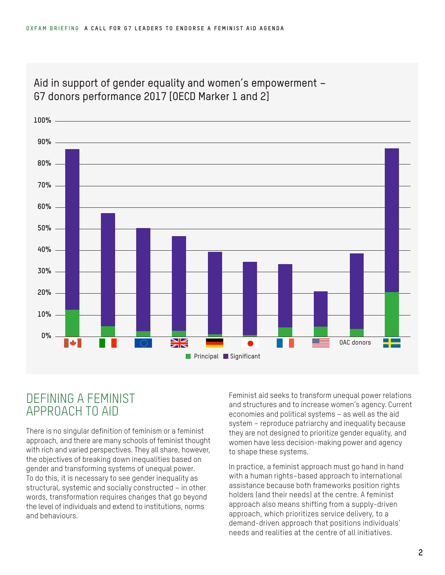

#### Aid in support of gender equality and women's empowerment – G7 donors performance 2017 [OECD Marker 1 and 2]

## DEFINING A FEMINIST APPROACH TO AID

There is no singular definition of feminism or a feminist approach, and there are many schools of feminist thought with rich and varied perspectives. They all share, however, the objectives of breaking down inequalities based on gender and transforming systems of unequal power. To do this, it is necessary to see gender inequality as structural, systemic and socially constructed – in other words, transformation requires changes that go beyond the level of individuals and extend to institutions, norms and behaviours.

Feminist aid seeks to transform unequal power relations and structures and to increase women's agency. Current economies and political systems – as well as the aid system – reproduce patriarchy and inequality because they are not designed to prioritize gender equality, and women have less decision-making power and agency to shape these systems.

In practice, a feminist approach must go hand in hand with a human rights–based approach to international assistance because both frameworks position rights holders (and their needs) at the centre. A feminist approach also means shifting from a supply-driven approach, which prioritizes service delivery, to a demand-driven approach that positions individuals' needs and realities at the centre of all initiatives.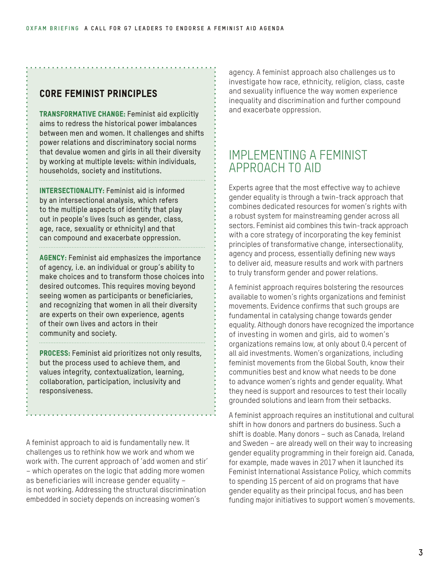#### Core feminist principles

Transformative change: Feminist aid explicitly aims to redress the historical power imbalances between men and women. It challenges and shifts power relations and discriminatory social norms that devalue women and girls in all their diversity by working at multiple levels: within individuals, households, society and institutions.

INTERSECTIONALITY: Feminist aid is informed by an intersectional analysis, which refers to the multiple aspects of identity that play out in people's lives (such as gender, class, age, race, sexuality or ethnicity) and that can compound and exacerbate oppression.

AGENCY: Feminist aid emphasizes the importance of agency, i.e. an individual or group's ability to make choices and to transform those choices into desired outcomes. This requires moving beyond seeing women as participants or beneficiaries, and recognizing that women in all their diversity are experts on their own experience, agents of their own lives and actors in their community and society.

**PROCESS:** Feminist aid prioritizes not only results, but the process used to achieve them, and values integrity, contextualization, learning, collaboration, participation, inclusivity and responsiveness.

A feminist approach to aid is fundamentally new. It challenges us to rethink how we work and whom we work with. The current approach of 'add women and stir' – which operates on the logic that adding more women as beneficiaries will increase gender equality – is not working. Addressing the structural discrimination embedded in society depends on increasing women's

agency. A feminist approach also challenges us to investigate how race, ethnicity, religion, class, caste and sexuality influence the way women experience inequality and discrimination and further compound and exacerbate oppression.

### IMPLEMENTING A FEMINIST APPROACH TO AID

Experts agree that the most effective way to achieve gender equality is through a twin-track approach that combines dedicated resources for women's rights with a robust system for mainstreaming gender across all sectors. Feminist aid combines this twin-track approach with a core strategy of incorporating the key feminist principles of transformative change, intersectionality, agency and process, essentially defining new ways to deliver aid, measure results and work with partners to truly transform gender and power relations.

A feminist approach requires bolstering the resources available to women's rights organizations and feminist movements. Evidence confirms that such groups are fundamental in catalysing change towards gender equality. Although donors have recognized the importance of investing in women and girls, aid to women's organizations remains low, at only about 0.4 percent of all aid investments. Women's organizations, including feminist movements from the Global South, know their communities best and know what needs to be done to advance women's rights and gender equality. What they need is support and resources to test their locally grounded solutions and learn from their setbacks.

A feminist approach requires an institutional and cultural shift in how donors and partners do business. Such a shift is doable. Many donors – such as Canada, Ireland and Sweden – are already well on their way to increasing gender equality programming in their foreign aid. Canada, for example, made waves in 2017 when it launched its Feminist International Assistance Policy, which commits to spending 15 percent of aid on programs that have gender equality as their principal focus, and has been funding major initiatives to support women's movements.